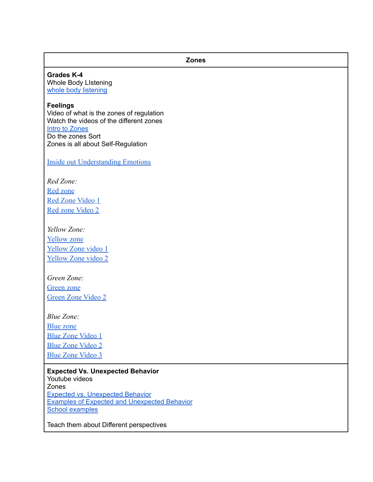**Grades K-4** Whole Body LIstening whole body [listening](https://video.ibm.com/recorded/126399661)

#### **Feelings**

Video of what is the zones of regulation Watch the videos of the different zones Intro to [Zones](https://www.youtube.com/watch?v=smKjmMDuJF4) Do the zones Sort Zones is all about Self-Regulation

**Zones**

[Inside out Understanding Emotions](https://www.youtube.com/watch?v=nTII0cyUbQo)

*Red Zone:* [Red zone](https://www.youtube.com/watch?v=xpJ6gGwZEfY) [Red Zone Video 1](https://www.youtube.com/watch?v=k1oXx4delIY)

[Red zone Video 2](https://www.youtube.com/watch?v=9nuoxJyUdfQ)

*Yellow Zone:* [Yellow zone](https://www.youtube.com/watch?v=ILADcIZ52HI) [Yellow Zone video 1](https://www.youtube.com/watch?v=eWXOurnVTYg) [Yellow Zone video 2](https://www.youtube.com/watch?v=b6yYd6Pq7Ic&list=PLNtcYq0vdW0bE_Qc2fr-9zbngdax8rd7m)

*Green Zone:* [Green zone](https://www.youtube.com/watch?v=B1TsPfT9Hj4) [Green Zone Video 2](https://www.youtube.com/watch?v=BSfeWURLAKE)

*Blue Zone:* [Blue zone](https://www.youtube.com/watch?v=nqHPJ6X71wY) [Blue Zone Video 1](https://www.youtube.com/watch?v=UgovOg6VzBU) [Blue Zone Video 2](https://www.youtube.com/watch?v=ss2hULhXf04&list=PL2yWdO8V50Khxx43p3Y8yntayfAQHFWDD) [Blue Zone Video 3](https://www.youtube.com/watch?v=l8h_6uV7Yzs&list=PLDHQbM6SC8CjQLA18pZvDuwXi_Y6kv_YJ)

**Expected Vs. Unexpected Behavior** Youtube videos Zones Expected vs. [Unexpected](https://www.youtube.com/watch?v=PfgUPAyFGxg) Behavior Examples of Expected and [Unexpected](https://vimeo.com/196016314) Behavior School [examples](https://www.youtube.com/watch?v=uDafP7lbmvI)

Teach them about Different perspectives